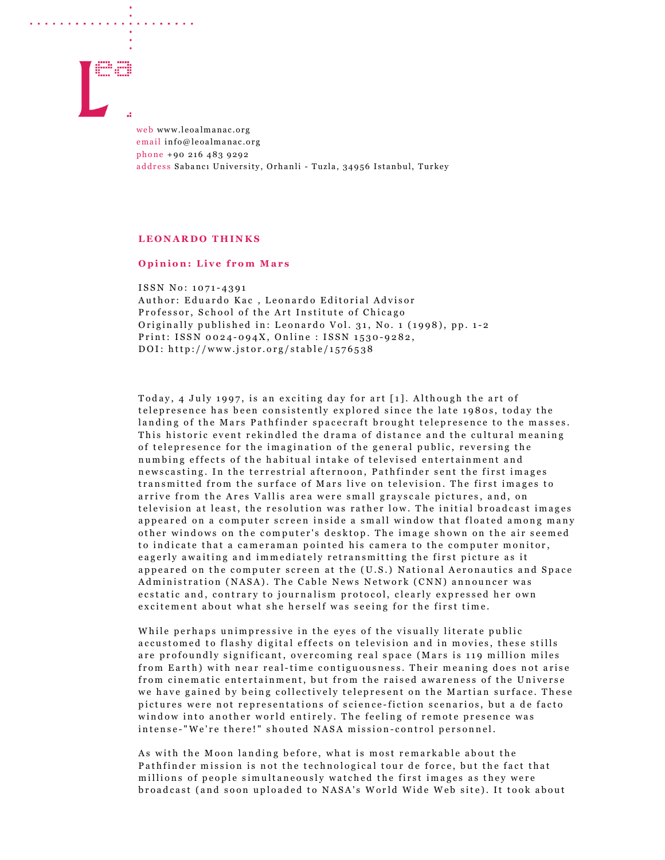

web www.leoalmanac.org email info@leoalmanac.org phone +90 216 483 9292 address Sabancı University, Orhanli - Tuzla, 34956 Istanbul, Turkey

## LEONARDO THINKS

## Opinion: Live from Mars

ISSN No: 1071-4391 Author: Eduardo Kac, Leonardo Editorial Advisor Professor, School of the Art Institute of Chicago Originally published in: Leonardo Vol. 31, No. 1 (1998), pp. 1-2 Print: ISSN 0024-094X, Online : ISSN 1530-9282, DOI: http://www.jstor.org/stable/1576538

Today, 4 July 1997, is an exciting day for art  $\lceil 1 \rceil$ . Although the art of telepresence has been consistently explored since the late 1980s, today the landing of the Mars Pathfinder spacecraft brought telepresence to the masses. This historic event rekindled the drama of distance and the cultural meaning of telepresence for the imagination of the general public, reversing the numbing effects of the habitual intake of televised entertainment and news casting. In the terrestrial afternoon, Pathfinder sent the first images transmitted from the surface of Mars live on television. The first images to arrive from the Ares Vallis area were small grayscale pictures, and, on television at least, the resolution was rather low. The initial broadcast images appeared on a computer screen inside a small window that floated among many other windows on the computer's desktop. The image shown on the air seemed to indicate that a cameraman pointed his camera to the computer monitor, eagerly awaiting and immediately retransmitting the first picture as it appeared on the computer screen at the (U.S.) National Aeronautics and Space Administration (NASA). The Cable News Network (CNN) announcer was ecstatic and, contrary to journalism protocol, clearly expressed her own excitement about what she herself was seeing for the first time.

While perhaps unimpressive in the eyes of the visually literate public accustomed to flashy digital effects on television and in movies, these stills are profoundly significant, overcoming real space (Mars is 119 million miles from Earth) with near real-time contiguousness. Their meaning does not arise from cinematic entertainment, but from the raised awareness of the Universe we have gained by being collectively telepresent on the Martian surface. These pictures were not representations of science-fiction scenarios, but a de facto window into another world entirely. The feeling of remote presence was intense-"We're there!" shouted NASA mission-control personnel.

As with the Moon landing before, what is most remarkable about the Pathfinder mission is not the technological tour de force, but the fact that millions of people simultaneously watched the first images as they were broadcast (and soon uploaded to NASA's World Wide Web site). It took about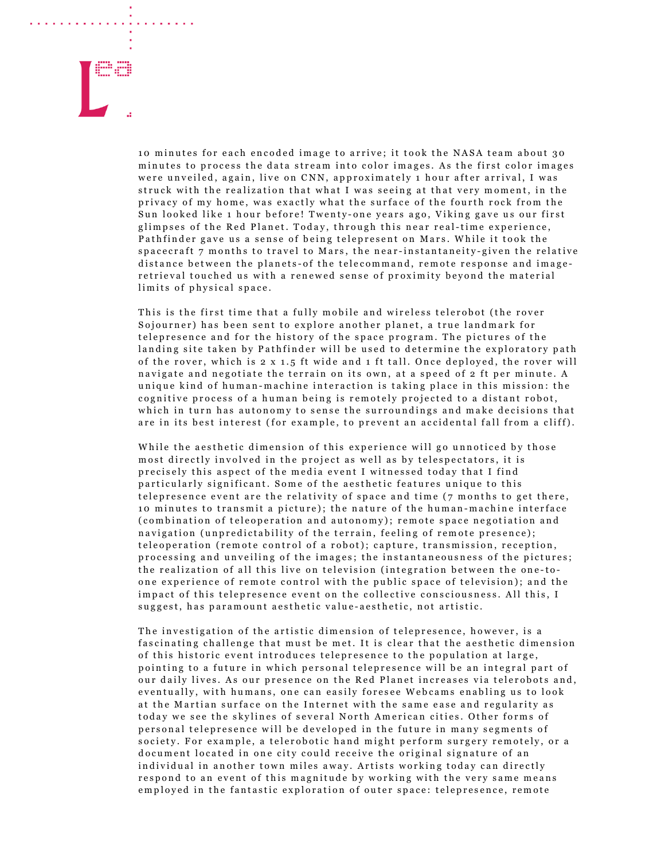

and a series of the contract of the contract of the

10 minutes for each encoded image to arrive; it took the NASA team about 30 minutes to process the data stream into color images. As the first color images were unveiled, again, live on CNN, approximately 1 hour after arrival, I was struck with the realization that what I was seeing at that very moment, in the privacy of my home, was exactly what the surface of the fourth rock from the Sun looked like 1 hour before! Twenty-one years ago, Viking gave us our first glimpses of the Red Planet. Today, through this near real-time experience, Pathfinder gave us a sense of being telepresent on Mars. While it took the spacecraft  $7$  months to travel to Mars, the near-instantaneity-given the relative distance between the planets-of the telecommand, remote response and imageretrieval touched us with a renewed sense of proximity beyond the material limits of physical space.

This is the first time that a fully mobile and wireless telerobot (the rover Sojourner) has been sent to explore another planet, a true landmark for telepresence and for the history of the space program. The pictures of the landing site taken by Pathfinder will be used to determine the exploratory path of the rover, which is  $2 \times 1.5$  ft wide and 1 ft tall. Once deployed, the rover will navigate and negotiate the terrain on its own, at a speed of 2 ft per minute. A unique kind of human-machine interaction is taking place in this mission: the cognitive process of a human being is remotely projected to a distant robot, which in turn has autonomy to sense the surroundings and make decisions that are in its best interest (for example, to prevent an accidental fall from a cliff).

While the aesthetic dimension of this experience will go unnoticed by those most directly involved in the project as well as by telespectators, it is precisely this aspect of the media event I witnessed today that I find particularly significant. Some of the aesthetic features unique to this telepresence event are the relativity of space and time (7 months to get there, 10 minutes to transmit a picture); the nature of the human-machine interface (combination of teleoperation and autonomy); remote space negotiation and n a vigation (unpredictability of the terrain, feeling of remote presence); teleoperation (remote control of a robot); capture, transmission, reception, processing and unveiling of the images; the instantaneousness of the pictures; the realization of all this live on television (integration between the one-toone experience of remote control with the public space of television); and the impact of this telepresence event on the collective consciousness. All this, I suggest, has paramount aesthetic value-aesthetic, not artistic.

The investigation of the artistic dimension of telepresence, however, is a fascinating challenge that must be met. It is clear that the aesthetic dimension of this historic event introduces telepresence to the population at large, pointing to a future in which personal telepresence will be an integral part of our daily lives. As our presence on the Red Planet increases via telerobots and, eventually, with humans, one can easily foresee Webcams enabling us to look at the Martian surface on the Internet with the same ease and regularity as today we see the skylines of several North American cities. Other forms of personal telepresence will be developed in the future in many segments of society. For example, a telerobotic hand might perform surgery remotely, or a document located in one city could receive the original signature of an individual in another town miles away. Artists working today can directly respond to an event of this magnitude by working with the very same means employed in the fantastic exploration of outer space: telepresence, remote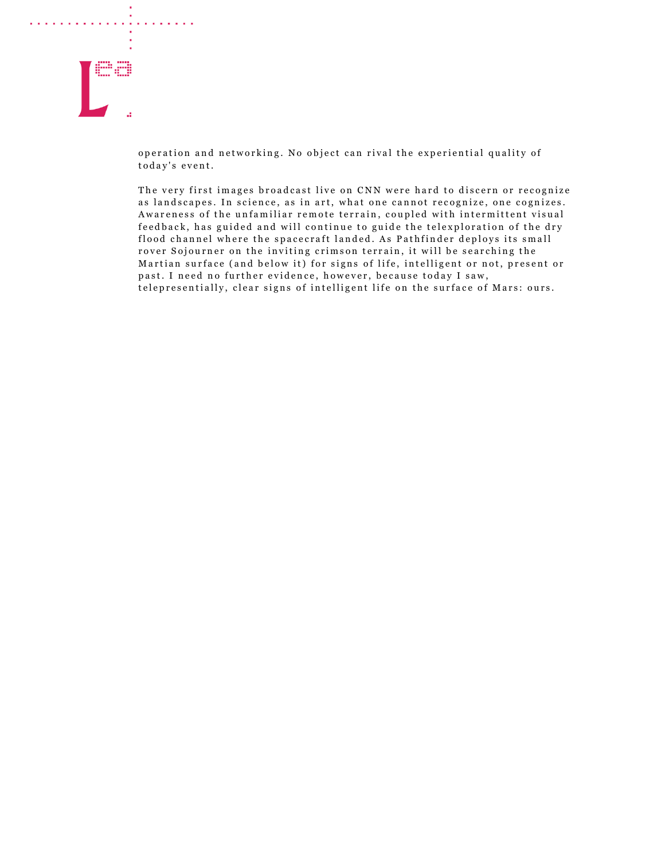

and the company of the company of the company of the company of the company of the company of the company of the company of the company of the company of the company of the company of the company of the company of the comp

operation and networking. No object can rival the experiential quality of today's event.

The very first images broadcast live on CNN were hard to discern or recognize as landscapes. In science, as in art, what one cannot recognize, one cognizes. Awareness of the unfamiliar remote terrain, coupled with intermittent visual feedback, has guided and will continue to guide the telexploration of the dry flood channel where the spacecraft landed. As Pathfinder deploys its small rover Sojourner on the inviting crimson terrain, it will be searching the Martian surface (and below it) for signs of life, intelligent or not, present or past. I need no further evidence, however, because today I saw, telepresentially, clear signs of intelligent life on the surface of Mars: ours.